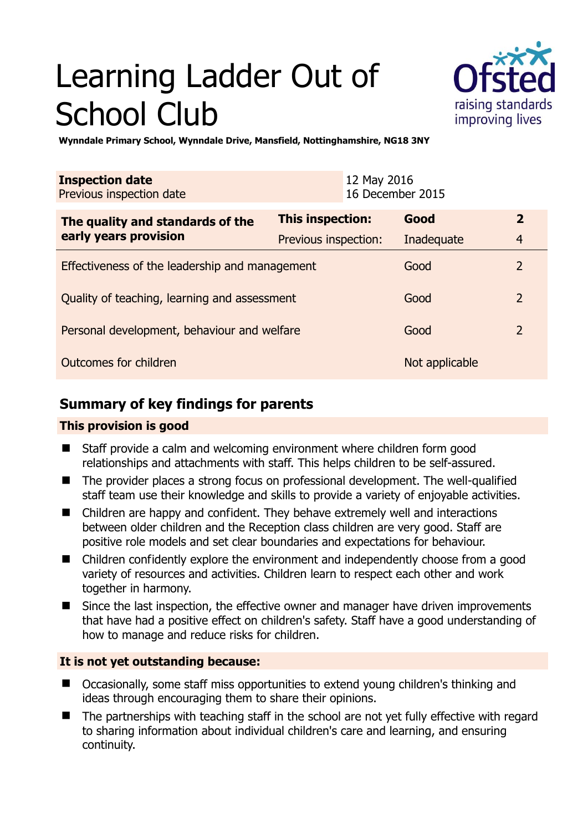# Learning Ladder Out of School Club



**Wynndale Primary School, Wynndale Drive, Mansfield, Nottinghamshire, NG18 3NY** 

| <b>Inspection date</b><br>Previous inspection date        | 12 May 2016             | 16 December 2015 |                |
|-----------------------------------------------------------|-------------------------|------------------|----------------|
| The quality and standards of the<br>early years provision | <b>This inspection:</b> | Good             | $\overline{2}$ |
|                                                           | Previous inspection:    | Inadequate       | $\overline{4}$ |
| Effectiveness of the leadership and management            |                         | Good             | $\overline{2}$ |
| Quality of teaching, learning and assessment              |                         | Good             | $\overline{2}$ |
| Personal development, behaviour and welfare               |                         | Good             | $\overline{2}$ |
| Outcomes for children                                     |                         | Not applicable   |                |

# **Summary of key findings for parents**

## **This provision is good**

- Staff provide a calm and welcoming environment where children form good relationships and attachments with staff. This helps children to be self-assured.
- The provider places a strong focus on professional development. The well-qualified staff team use their knowledge and skills to provide a variety of enjoyable activities.
- Children are happy and confident. They behave extremely well and interactions between older children and the Reception class children are very good. Staff are positive role models and set clear boundaries and expectations for behaviour.
- Children confidently explore the environment and independently choose from a good variety of resources and activities. Children learn to respect each other and work together in harmony.
- Since the last inspection, the effective owner and manager have driven improvements that have had a positive effect on children's safety. Staff have a good understanding of how to manage and reduce risks for children.

## **It is not yet outstanding because:**

- Occasionally, some staff miss opportunities to extend young children's thinking and ideas through encouraging them to share their opinions.
- The partnerships with teaching staff in the school are not yet fully effective with regard to sharing information about individual children's care and learning, and ensuring continuity.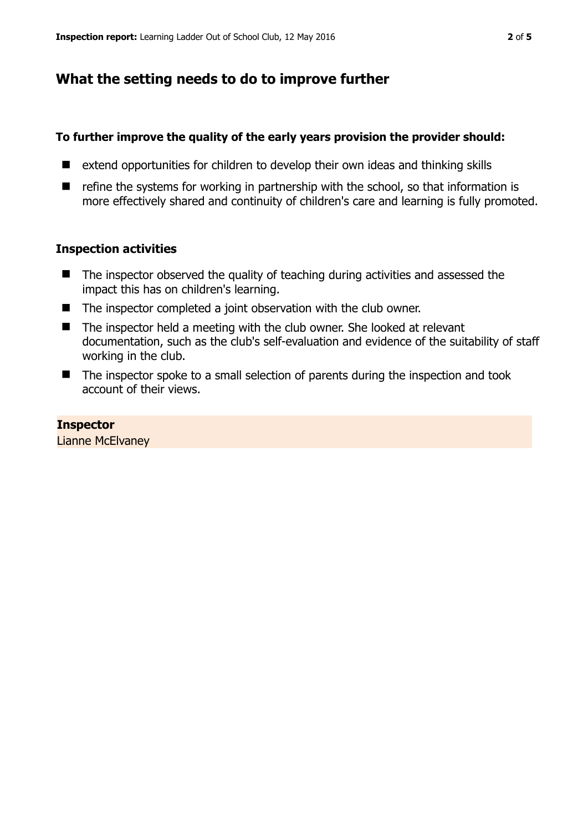# **What the setting needs to do to improve further**

#### **To further improve the quality of the early years provision the provider should:**

- extend opportunities for children to develop their own ideas and thinking skills
- $\blacksquare$  refine the systems for working in partnership with the school, so that information is more effectively shared and continuity of children's care and learning is fully promoted.

#### **Inspection activities**

- The inspector observed the quality of teaching during activities and assessed the impact this has on children's learning.
- The inspector completed a joint observation with the club owner.
- $\blacksquare$  The inspector held a meeting with the club owner. She looked at relevant documentation, such as the club's self-evaluation and evidence of the suitability of staff working in the club.
- The inspector spoke to a small selection of parents during the inspection and took account of their views.

#### **Inspector**

Lianne McElvaney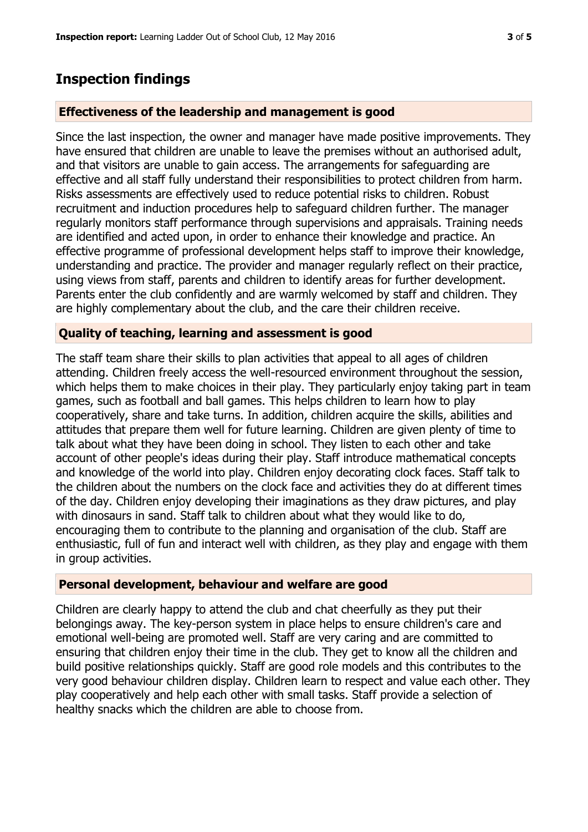# **Inspection findings**

## **Effectiveness of the leadership and management is good**

Since the last inspection, the owner and manager have made positive improvements. They have ensured that children are unable to leave the premises without an authorised adult, and that visitors are unable to gain access. The arrangements for safeguarding are effective and all staff fully understand their responsibilities to protect children from harm. Risks assessments are effectively used to reduce potential risks to children. Robust recruitment and induction procedures help to safeguard children further. The manager regularly monitors staff performance through supervisions and appraisals. Training needs are identified and acted upon, in order to enhance their knowledge and practice. An effective programme of professional development helps staff to improve their knowledge, understanding and practice. The provider and manager regularly reflect on their practice, using views from staff, parents and children to identify areas for further development. Parents enter the club confidently and are warmly welcomed by staff and children. They are highly complementary about the club, and the care their children receive.

## **Quality of teaching, learning and assessment is good**

The staff team share their skills to plan activities that appeal to all ages of children attending. Children freely access the well-resourced environment throughout the session, which helps them to make choices in their play. They particularly enjoy taking part in team games, such as football and ball games. This helps children to learn how to play cooperatively, share and take turns. In addition, children acquire the skills, abilities and attitudes that prepare them well for future learning. Children are given plenty of time to talk about what they have been doing in school. They listen to each other and take account of other people's ideas during their play. Staff introduce mathematical concepts and knowledge of the world into play. Children enjoy decorating clock faces. Staff talk to the children about the numbers on the clock face and activities they do at different times of the day. Children enjoy developing their imaginations as they draw pictures, and play with dinosaurs in sand. Staff talk to children about what they would like to do, encouraging them to contribute to the planning and organisation of the club. Staff are enthusiastic, full of fun and interact well with children, as they play and engage with them in group activities.

## **Personal development, behaviour and welfare are good**

Children are clearly happy to attend the club and chat cheerfully as they put their belongings away. The key-person system in place helps to ensure children's care and emotional well-being are promoted well. Staff are very caring and are committed to ensuring that children enjoy their time in the club. They get to know all the children and build positive relationships quickly. Staff are good role models and this contributes to the very good behaviour children display. Children learn to respect and value each other. They play cooperatively and help each other with small tasks. Staff provide a selection of healthy snacks which the children are able to choose from.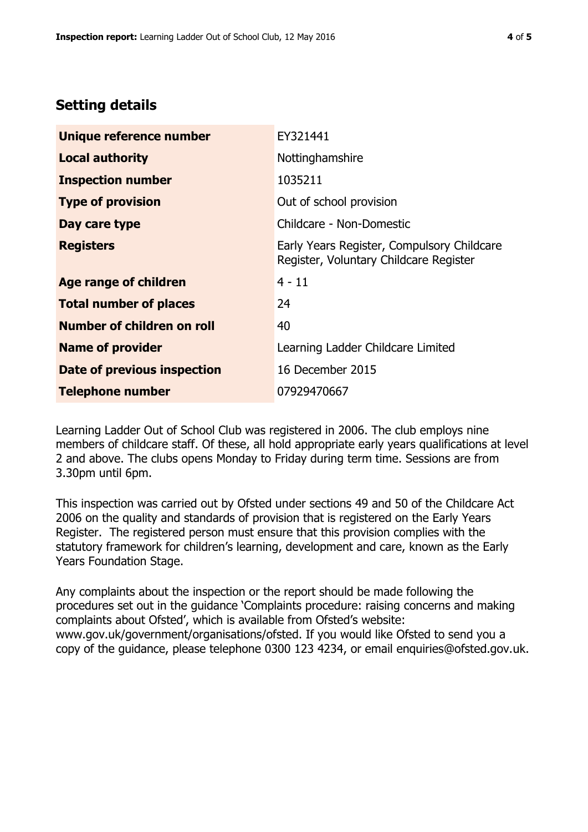# **Setting details**

| Unique reference number       | EY321441                                                                             |  |
|-------------------------------|--------------------------------------------------------------------------------------|--|
| <b>Local authority</b>        | Nottinghamshire                                                                      |  |
| <b>Inspection number</b>      | 1035211                                                                              |  |
| <b>Type of provision</b>      | Out of school provision                                                              |  |
| Day care type                 | Childcare - Non-Domestic                                                             |  |
| <b>Registers</b>              | Early Years Register, Compulsory Childcare<br>Register, Voluntary Childcare Register |  |
| <b>Age range of children</b>  | $4 - 11$                                                                             |  |
| <b>Total number of places</b> | 24                                                                                   |  |
| Number of children on roll    | 40                                                                                   |  |
| <b>Name of provider</b>       | Learning Ladder Childcare Limited                                                    |  |
| Date of previous inspection   | 16 December 2015                                                                     |  |
| <b>Telephone number</b>       | 07929470667                                                                          |  |

Learning Ladder Out of School Club was registered in 2006. The club employs nine members of childcare staff. Of these, all hold appropriate early years qualifications at level 2 and above. The clubs opens Monday to Friday during term time. Sessions are from 3.30pm until 6pm.

This inspection was carried out by Ofsted under sections 49 and 50 of the Childcare Act 2006 on the quality and standards of provision that is registered on the Early Years Register. The registered person must ensure that this provision complies with the statutory framework for children's learning, development and care, known as the Early Years Foundation Stage.

Any complaints about the inspection or the report should be made following the procedures set out in the guidance 'Complaints procedure: raising concerns and making complaints about Ofsted', which is available from Ofsted's website: www.gov.uk/government/organisations/ofsted. If you would like Ofsted to send you a copy of the guidance, please telephone 0300 123 4234, or email enquiries@ofsted.gov.uk.